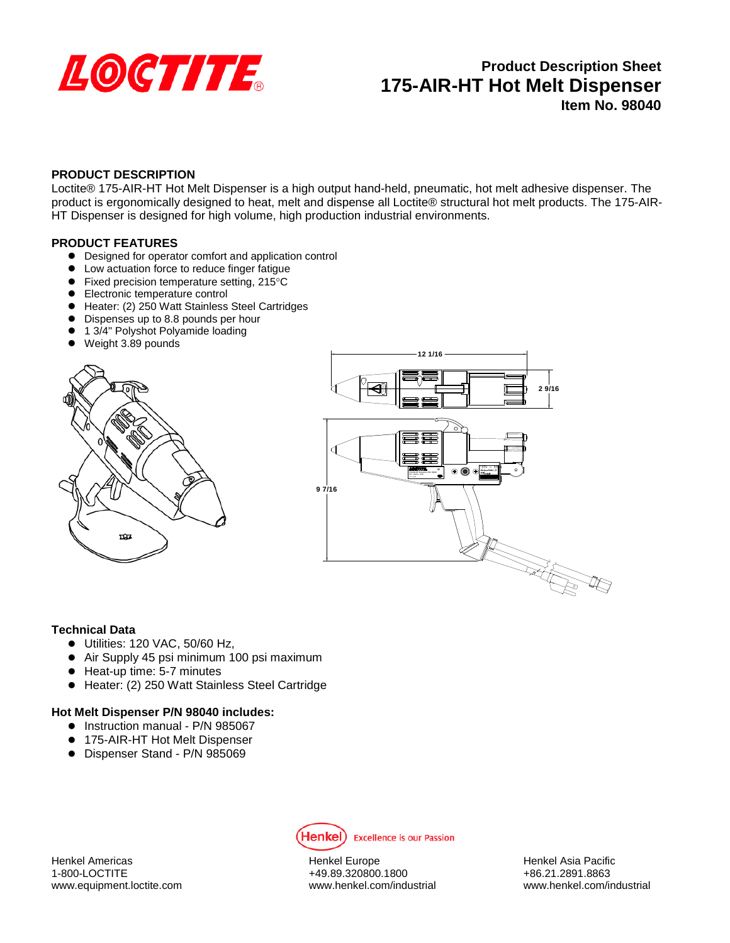

# **Product Description Sheet 175-AIR-HT Hot Melt Dispenser Item No. 98040**

# **PRODUCT DESCRIPTION**

Loctite® 175-AIR-HT Hot Melt Dispenser is a high output hand-held, pneumatic, hot melt adhesive dispenser. The product is ergonomically designed to heat, melt and dispense all Loctite® structural hot melt products. The 175-AIR-HT Dispenser is designed for high volume, high production industrial environments.

### **PRODUCT FEATURES**

- Designed for operator comfort and application control
- Low actuation force to reduce finger fatigue
- Fixed precision temperature setting, 215°C
- **Electronic temperature control**
- Heater: (2) 250 Watt Stainless Steel Cartridges
- Dispenses up to 8.8 pounds per hour
- 1 3/4" Polyshot Polyamide loading
- Weight 3.89 pounds





### **Technical Data**

- Utilities: 120 VAC, 50/60 Hz,
- Air Supply 45 psi minimum 100 psi maximum
- Heat-up time: 5-7 minutes
- Heater: (2) 250 Watt Stainless Steel Cartridge

### **Hot Melt Dispenser P/N 98040 includes:**

- Instruction manual P/N 985067
- 175-AIR-HT Hot Melt Dispenser
- Dispenser Stand P/N 985069



Henkel Americas Henkel Europe Henkel Asia Pacific

1-800-LOCTITE +49.89.320800.1800 www.equipment.loctite.com www.henkel.com/industrial www.henkel.com/industrial